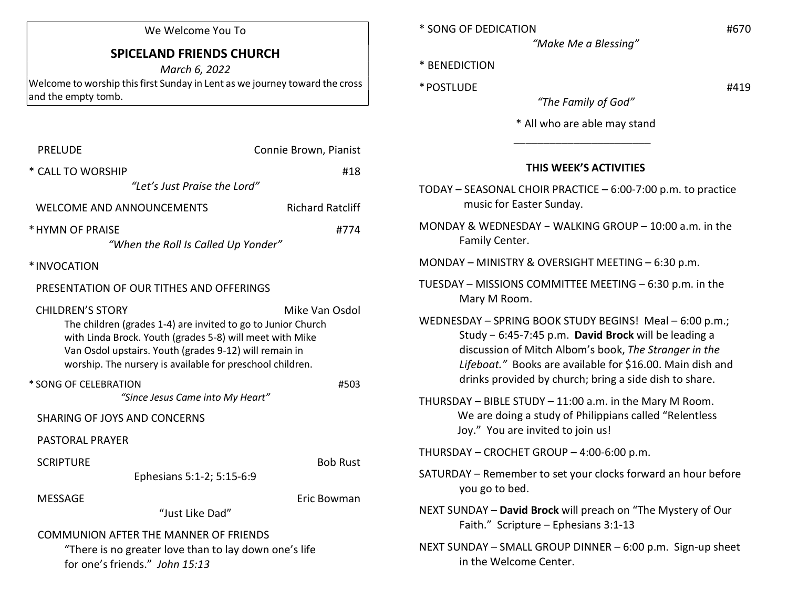## We Welcome You To

## SPICELAND FRIENDS CHURCH

March 6, 2022 Welcome to worship this first Sunday in Lent as we journey toward the cross and the empty tomb.

| <b>PRELUDE</b>                                                                                                                                                                                                                                                                               | Connie Brown, Pianist   |  |
|----------------------------------------------------------------------------------------------------------------------------------------------------------------------------------------------------------------------------------------------------------------------------------------------|-------------------------|--|
| * CALL TO WORSHIP                                                                                                                                                                                                                                                                            | #18                     |  |
| "Let's Just Praise the Lord"                                                                                                                                                                                                                                                                 |                         |  |
| WELCOME AND ANNOUNCEMENTS                                                                                                                                                                                                                                                                    | <b>Richard Ratcliff</b> |  |
| * HYMN OF PRAISE<br>#774<br>"When the Roll Is Called Up Yonder"                                                                                                                                                                                                                              |                         |  |
| *INVOCATION                                                                                                                                                                                                                                                                                  |                         |  |
| PRESENTATION OF OUR TITHES AND OFFERINGS                                                                                                                                                                                                                                                     |                         |  |
| <b>CHILDREN'S STORY</b><br>Mike Van Osdol<br>The children (grades 1-4) are invited to go to Junior Church<br>with Linda Brock. Youth (grades 5-8) will meet with Mike<br>Van Osdol upstairs. Youth (grades 9-12) will remain in<br>worship. The nursery is available for preschool children. |                         |  |
| * SONG OF CELEBRATION<br>"Since Jesus Came into My Heart"                                                                                                                                                                                                                                    | #503                    |  |
| <b>SHARING OF JOYS AND CONCERNS</b>                                                                                                                                                                                                                                                          |                         |  |
| <b>PASTORAL PRAYER</b>                                                                                                                                                                                                                                                                       |                         |  |
| <b>SCRIPTURE</b><br>Ephesians 5:1-2; 5:15-6:9                                                                                                                                                                                                                                                | <b>Bob Rust</b>         |  |
| <b>MESSAGE</b><br>"Just Like Dad"                                                                                                                                                                                                                                                            | Eric Bowman             |  |
| <b>COMMUNION AFTER THE MANNER OF FRIENDS</b><br>"There is no greater love than to lay down one's life<br>for one's friends." John 15:13                                                                                                                                                      |                         |  |

| * SONG OF DEDICATION | #670 |
|----------------------|------|
|                      |      |

"Make Me a Blessing"

- \* BENEDICTION
- $*$  POSTLUDE  $#419$

"The Family of God"

\* All who are able may stand

## THIS WEEK'S ACTIVITIES

- TODAY SEASONAL CHOIR PRACTICE 6:00-7:00 p.m. to practice music for Easter Sunday.
- MONDAY & WEDNESDAY − WALKING GROUP 10:00 a.m. in the Family Center.
- MONDAY MINISTRY & OVERSIGHT MEETING 6:30 p.m.

 $\frac{1}{\sqrt{2}}$  ,  $\frac{1}{\sqrt{2}}$  ,  $\frac{1}{\sqrt{2}}$  ,  $\frac{1}{\sqrt{2}}$  ,  $\frac{1}{\sqrt{2}}$  ,  $\frac{1}{\sqrt{2}}$  ,  $\frac{1}{\sqrt{2}}$  ,  $\frac{1}{\sqrt{2}}$  ,  $\frac{1}{\sqrt{2}}$  ,  $\frac{1}{\sqrt{2}}$  ,  $\frac{1}{\sqrt{2}}$  ,  $\frac{1}{\sqrt{2}}$  ,  $\frac{1}{\sqrt{2}}$  ,  $\frac{1}{\sqrt{2}}$  ,  $\frac{1}{\sqrt{2}}$ 

- TUESDAY MISSIONS COMMITTEE MEETING 6:30 p.m. in the Mary M Room.
- WEDNESDAY SPRING BOOK STUDY BEGINS! Meal 6:00 p.m.; Study − 6:45-7:45 p.m. David Brock will be leading a discussion of Mitch Albom's book, The Stranger in the Lifeboat." Books are available for \$16.00. Main dish and drinks provided by church; bring a side dish to share.
- THURSDAY BIBLE STUDY 11:00 a.m. in the Mary M Room. We are doing a study of Philippians called "Relentless Joy." You are invited to join us!

THURSDAY – CROCHET GROUP – 4:00-6:00 p.m.

- SATURDAY Remember to set your clocks forward an hour before you go to bed.
- NEXT SUNDAY David Brock will preach on "The Mystery of Our Faith." Scripture – Ephesians 3:1-13
- NEXT SUNDAY SMALL GROUP DINNER 6:00 p.m. Sign-up sheet in the Welcome Center.